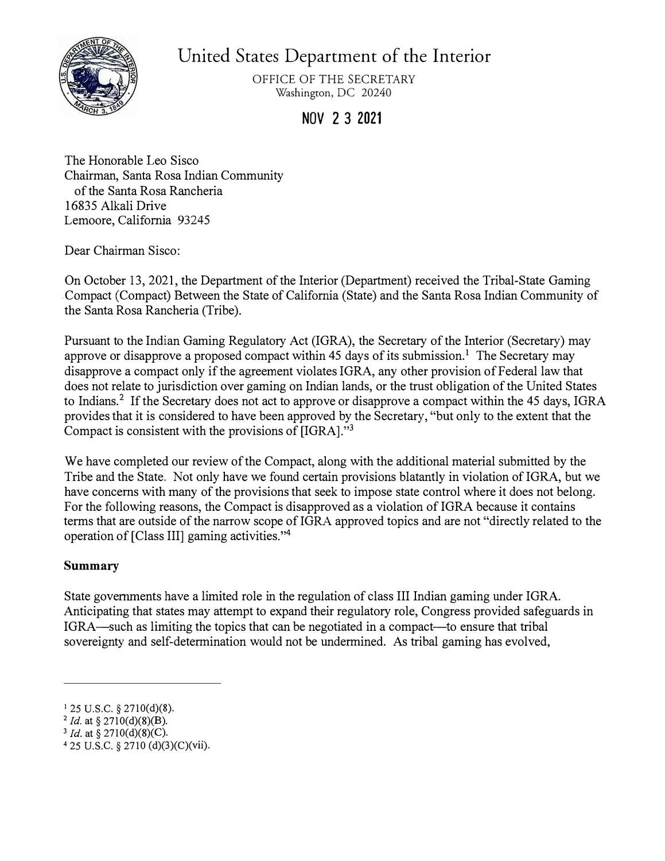

United States Department of the Interior

OFFICE OF THE SECRETARY Washington, DC 20240

**NOV 2 3 2021** 

The Honorable Leo Sisco Chairman, Santa Rosa Indian Community of the Santa Rosa Rancheria 16835 Alkali Drive Lemoore, California 93245

Dear Chairman Sisco:

On October 13, 2021, the Department of the Interior (Department) received the Tribal-State Gaming .Compact (Compact) Between the State of California (State) and the Santa Rosa Indian Community of the Santa Rosa Rancheria (Tribe).

Pursuant to the Indian Gaming Regulatory Act (IGRA), the Secretary of the Interior (Secretary) may approve or disapprove a proposed compact within 45 days of its submission.<sup>1</sup> The Secretary may disapprove a compact only if the agreement violates IGRA, any other provision of Federal law that does not relate to jurisdiction over gaming on Indian lands, or the trust obligation of the United States to Indians.<sup>2</sup> If the Secretary does not act to approve or disapprove a compact within the 45 days, IGRA provides that it is considered to have been approved by the Secretary, "but only to the extent that the Compact is consistent with the provisions of [IGRA]."**<sup>3</sup>**

We have completed our review of the Compact, along with the additional material submitted by the Tribe and the State. Not only have we found certain provisions blatantly in violation of IGRA, but we have concerns with many of the provisions that seek to impose state control where it does not belong. For the following reasons, the Compact is disapproved as a violation of IGRA because it contains terms that are outside of the narrow scope of IGRA approved topics and are not "directly related to the operation of [Class III] gaming activities."<sup>4</sup>

# **Summary**

State governments have a limited role in the regulation of class III Indian gaming under IGRA. Anticipating that states may attempt to expand their regulatory role, Congress provided safeguards in IGRA—such as limiting the topics that can be negotiated in a compact—to ensure that tribal sovereignty and self-determination would not be undermined. As tribal gaming has evolved,

<sup>1</sup>25 u.s.c. *§* 2710(d)(8). **<sup>2</sup>***Id.* at§ 2710(d)(8)(B).

<sup>3</sup> *Id.* at§ 2710(d)(8)(C).

<sup>4</sup> 25 U.S.C. *§* 2710 (d)(3)(C)(vii).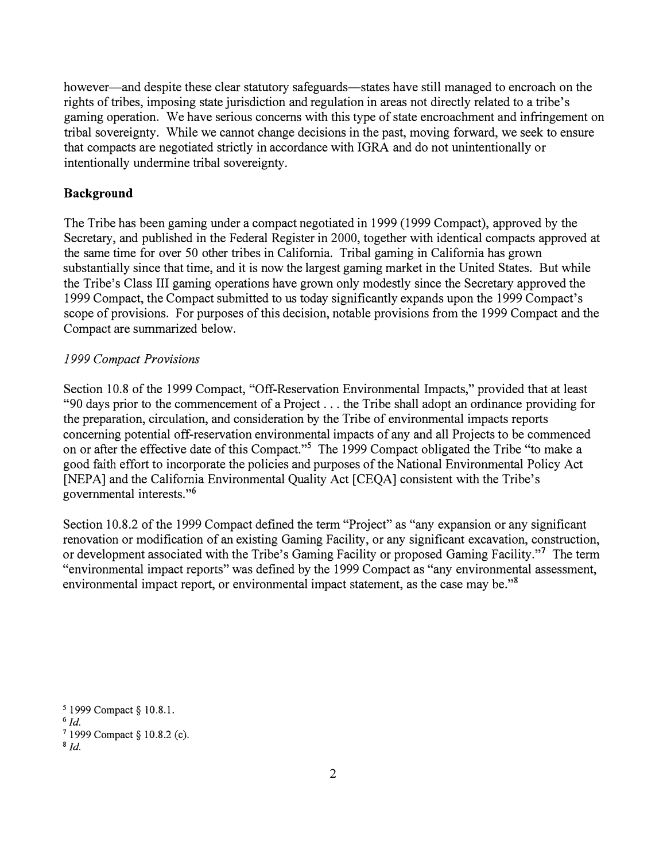however—and despite these clear statutory safeguards—states have still managed to encroach on the rights of tribes, imposing state jurisdiction and regulation in areas not directly related to a tribe's gaming operation. We have serious concerns with this type of state encroachment and infringement on tribal sovereignty. While we cannot change decisions in the past, moving forward, we seek to ensure that compacts are negotiated strictly in accordance with IGRA and do not unintentionally or intentionally undermine tribal sovereignty.

## **Background**

The Tribe has been gaming under a compact negotiated in 1999 (1999 Compact), approved by the Secretary, and published in the Federal Register in 2000, together with identical compacts approved at the same time for over 50 other tribes in California. Tribal gaming in California has grown substantially since that time, and it is now the largest gaming market in the United States. But while the Tribe's Class III gaming operations have grown only modestly since the Secretary approved the 1999 Compact, the Compact submitted to us today significantly expands upon the 1999 Compact's scope of provisions. For purposes of this decision, notable provisions from the 1999 Compact and the Compact are summarized below.

## *1999 Compact Provisions*

Section 10.8 of the 1999 Compact, "Off-Reservation Environmental Impacts," provided that at least "90 days prior to the commencement of a Project ... the Tribe shall adopt an ordinance providing for the preparation, circulation, and consideration by the Tribe of environmental impacts reports concerning potential off-reservation environmental impacts of any and all Projects to be commenced on or after the effective date of this Compact."<sup>5</sup> The 1999 Compact obligated the Tribe "to make a good faith effort to incorporate the policies and purposes of the National Environmental Policy Act [NEPA] and the California Environmental Quality Act [CEQA] consistent with the Tribe's governmental interests. "<sup>6</sup>

Section 10.8.2 of the 1999 Compact defined the term "Project" as "any expansion or any significant renovation or modification of an existing Gaming Facility, or any significant excavation, construction, or development associated with the Tribe's Gaming Facility or proposed Gaming Facility."<sup>7</sup> The term "environmental impact reports" was defined by the 1999 Compact as "any environmental assessment, environmental impact report, or environmental impact statement, as the case may be."<sup>8</sup>

*<sup>5</sup>*1999 Compact§ 10.8.1.

**<sup>6</sup>** *Id.* 

**<sup>7</sup>**1999 Compact§ 10.8.2 (c).

**<sup>8</sup>***Id.*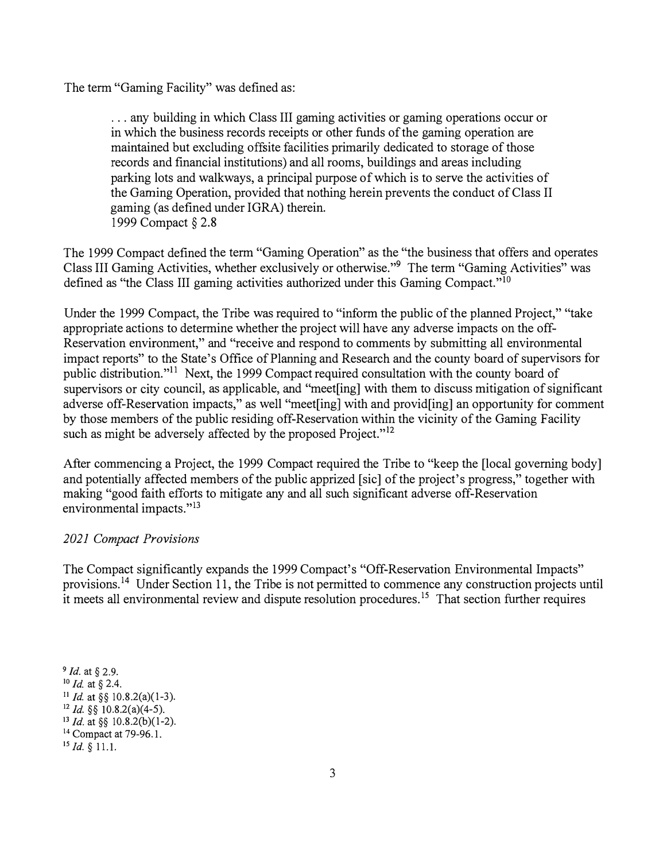The term "Gaming Facility" was defined as:

... any building in which Class III gaming activities or gaming operations occur or in which the business records receipts or other funds of the gaming operation are maintained but excluding off site facilities primarily dedicated to storage of those records and financial institutions) and all rooms, buildings and areas including parking lots and walkways, a principal purpose of which is to serve the activities of the Gaming Operation, provided that nothing herein prevents the conduct of Class II gaming (as defined under IGRA) therein. 1999 Compact§ 2.8

The 1999 Compact defined the term "Gaming Operation" as the "the business that offers and operates Class III Gaming Activities, whether exclusively or otherwise."<sup>9</sup> The term "Gaming Activities" was defined as "the Class III gaming activities authorized under this Gaming Compact."<sup>10</sup>

Under the 1999 Compact, the Tribe was required to "inform the public of the planned Project," "take appropriate actions to determine whether the project will have any adverse impacts on the off-Reservation environment," and "receive and respond to comments by submitting all environmental impact reports" to the State's Office of Planning and Research and the county board of supervisors for public distribution."<sup>11</sup> Next, the 1999 Compact required consultation with the county board of supervisors or city council, as applicable, and "meet[ing] with them to discuss mitigation of significant adverse off-Reservation impacts," as well "meet ling] with and providing an opportunity for comment by those members of the public residing off-Reservation within the vicinity of the Gaming Facility such as might be adversely affected by the proposed Project."<sup>12</sup>

After commencing a Project, the 1999 Compact required the Tribe to "keep the [local governing body] and potentially affected members of the public apprized [sic] of the project's progress," together with making "good faith efforts to mitigate any and all such significant adverse off-Reservation environmental impacts."<sup>13</sup>

### *2021 Compact Provisions*

The Compact significantly expands the 1999 Compact's "Off-Reservation Environmental Impacts" [provisions.](https://provisions.14)<sup>14</sup> Under Section 11, the Tribe is not permitted to commence any construction projects until it meets all environmental review and dispute resolution [procedures.](https://procedures.15)<sup>15</sup> That section further requires

*Id.* at *§* 2.9. *Id.* at *§* 2.4. *Id.* at§§ 10.8.2(a)(l-3). *Id.§§* 10.8.2(a)(4-5). *Id.* at§§ 10.8.2(b)(l-2). <sup>14</sup> Compact at 79-96.1. *Id.§* 11.1.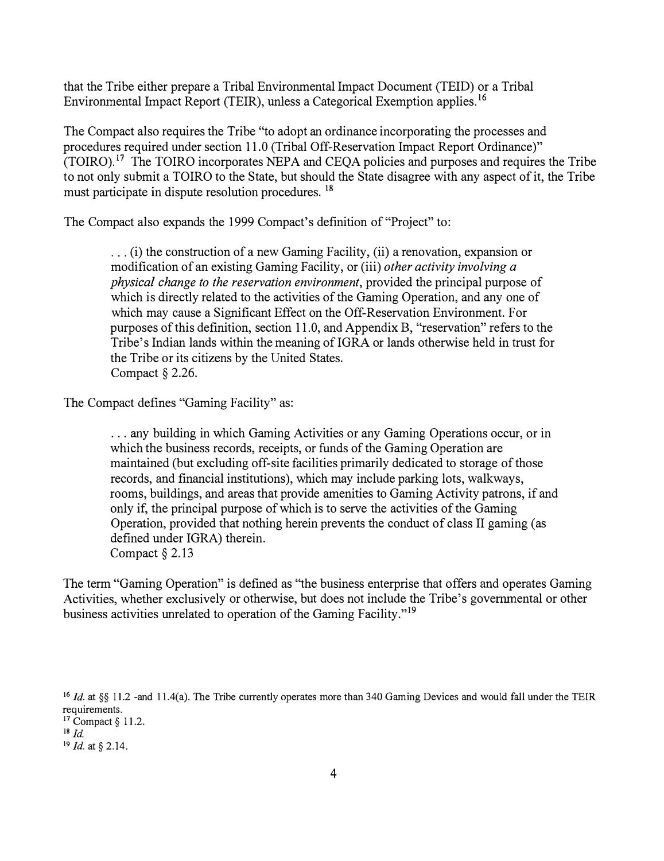that the Tribe either prepare a Tribal Environmental Impact Document (TEID) or a Tribal Environmental Impact Report (TEIR), unless a Categorical Exemption applies. <sup>16</sup>

The Compact also requires the Tribe "to adopt an ordinance incorporating the processes and procedures required under section 11.0 (Tribal Off-Reservation Impact Report Ordinance)"  $(TOIRO).$ <sup>17</sup> The TOIRO incorporates NEPA and CEOA policies and purposes and requires the Tribe to not only submit a TOIRO to the State, but should the State disagree with any aspect of it, the Tribe must participate in dispute resolution procedures. <sup>18</sup>

The Compact also expands the 1999 Compact's definition of "Project" to:

... (i) the construction of a new Gaming Facility, (ii) a renovation, expansion or modification of an existing Gaming Facility, or (iii) *other activity involving a physical change to the reservation environment,* provided the principal purpose of which is directly related to the activities of the Gaming Operation, and any one of which may cause a Significant Effect on the Off-Reservation Environment. For purposes of this definition, section 11.0, and Appendix B, "reservation" refers to the Tribe's Indian lands within the meaning of IGRA or lands otherwise held in trust for the Tribe or its citizens by the United States. Compact§ 2.26.

The Compact defines "Gaming Facility" as:

... any building in which Gaming Activities or any Gaming Operations occur, or in which the business records, receipts, or funds of the Gaming Operation are maintained (but excluding off-site facilities primarily dedicated to storage of those records, and financial institutions), which may include parking lots, walkways, rooms, buildings, and areas that provide amenities to Gaming Activity patrons, if and only if, the principal purpose of which is to serve the activities of the Gaming Operation, provided that nothing herein prevents the conduct of class II gaming ( as defined under IGRA) therein. Compact § 2.13

The term "Gaming Operation" is defined as "the business enterprise that offers and operates Gaming Activities, whether exclusively or otherwise, but does not include the Tribe's governmental or other business activities unrelated to operation of the Gaming Facility."<sup>19</sup>

<sup>&</sup>lt;sup>16</sup> *Id.* at §§ 11.2 -and 11.4(a). The Tribe currently operates more than 340 Gaming Devices and would fall under the TEIR requirements.

 $17$  Compact § 11.2.

 $18$  *Id.* 

<sup>19</sup>*Id.* at§ 2.14.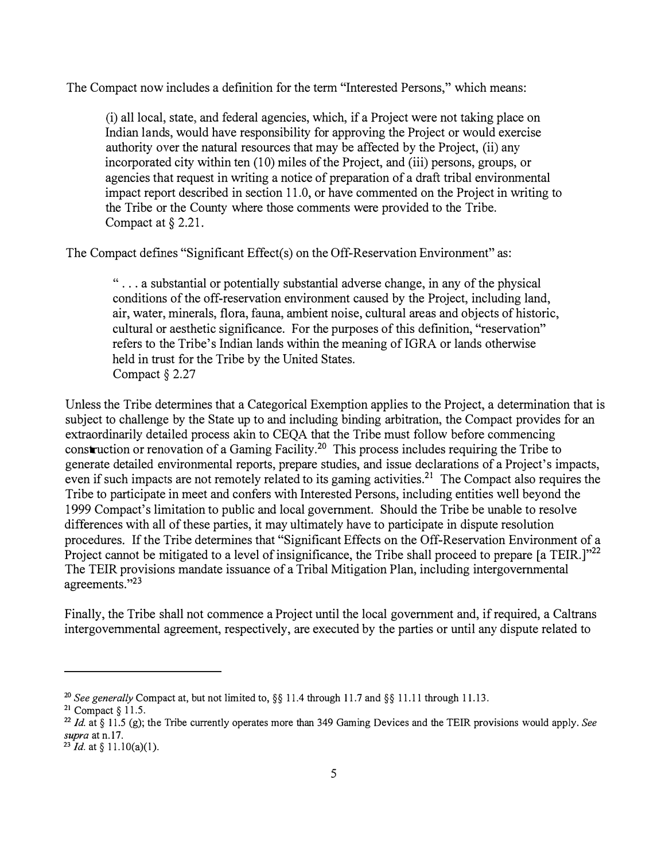The Compact now includes a definition for the term "Interested Persons," which means:

(i) all local, state, and federal agencies, which, if a Project were not taking place on Indian lands, would have responsibility for approving the Project or would exercise authority over the natural resources that may be affected by the Project, (ii) any incorporated city within ten (10) miles of the Project, and (iii) persons, groups, or agencies that request in writing a notice of preparation of a draft tribal environmental impact report described in section 11.0, or have commented on the Project in writing to the Tribe or the County where those comments were provided to the Tribe. Compact at § 2.21.

The Compact defines "Significant Effect(s) on the Off-Reservation Environment" as:

" ... a substantial or potentially substantial adverse change, in any of the physical conditions of the off-reservation environment caused by the Project, including land, air, water, minerals, flora, fauna, ambient noise, cultural areas and objects of historic, cultural or aesthetic significance. For the purposes of this definition, "reservation" refers to the Tribe's Indian lands within the meaning oflGRA or lands otherwise held in trust for the Tribe by the United States. Compact *§* 2.27

Unless the Tribe determines that a Categorical Exemption applies to the Project, a determination that is subject to challenge by the State up to and including binding arbitration, the Compact provides for an extraordinarily detailed process akin to CEQA that the Tribe must follow before commencing construction or renovation of a Gaming [Facility.](https://Facility.20)<sup>2</sup>0 This process includes requiring the Tribe to generate detailed environmental reports, prepare studies, and issue declarations of a Project's impacts, even if such impacts are not remotely related to its gaming activities.<sup>21</sup> The Compact also requires the Tribe to participate in meet and confers with Interested Persons, including entities well beyond the 1999 Compact's limitation to public and local government. Should the Tribe be unable to resolve differences with all of these parties, it may ultimately have to participate in dispute resolution procedures. If the Tribe determines that "Significant Effects on the Off-Reservation Environment of a Project cannot be mitigated to a level of insignificance, the Tribe shall proceed to prepare [a TEIR.]"<sup>22</sup> The TEIR provisions mandate issuance of a Tribal Mitigation Plan, including intergovernmental agreements."23

Finally, the Tribe shall not commence a Project until the local government and, if required, a Caltrans intergovernmental agreement, respectively, are executed by the parties or until any dispute related to

<sup>&</sup>lt;sup>20</sup> See generally Compact at, but not limited to,  $\S$ § 11.4 through 11.7 and  $\S$ § 11.11 through 11.13.

**<sup>21</sup>**Compact§ 11.5.

**<sup>22</sup>***Id.* at § 11.5 (g); the Tribe currently operates more than 349 Gaming Devices and the TEIR provisions would apply. *See supra* at n.17.

**<sup>23</sup>***Id.* at§ 11.l0(a)(l).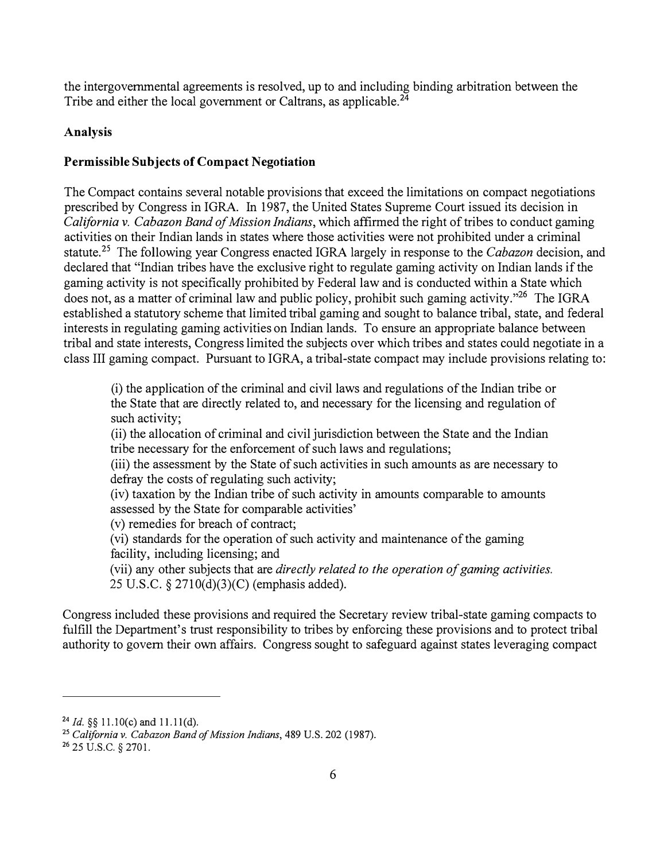the intergovernmental agreements is resolved, up to and including binding arbitration between the Tribe and either the local government or Caltrans, as [applicable.](https://applicable.24)**<sup>24</sup>**

# **Analysis**

# **Permissible Subjects of Compact Negotiation**

The Compact contains several notable provisions that exceed the limitations on compact negotiations prescribed by Congress in IGRA. In 1987, the United States Supreme Court issued its decision in *California v. Cabazon Band of Mission Indians,* which affirmed the right of tribes to conduct gaming activities on their Indian lands in states where those activities were not prohibited under a criminal [statute.](https://statute.25)**25** The following year Congress enacted IGRA largely in response to the *Cabazon* decision, an d declared that "Indian tribes have the exclusive right to regulate gaming activity on Indian lands if the gaming activity is not specifically prohibited by Federal law and is conducted within a State which does not, as a matter of criminal law and public policy, prohibit such gaming activity. $^{25}$  The IGRA established a statutory scheme that limited tribal gaming and sought to balance tribal, state, and federa l interests in regulating gaming activities on Indian lands. To ensure an appropriate balance between tribal and state interests, Congress limited the subjects over which tribes and states could negotiate in a class III gaming compact. Pursuant to IGRA, a tribal-state compact may include provisions relating to :

(i) the application of the criminal and civil laws and regulations of the Indian tribe or the State that are directly related to, and necessary for the licensing and regulation of such activity;

(ii) the allocation of criminal and civil jurisdiction between the State and the Indian tribe necessary for the enforcement of such laws and regulations;

(iii) the assessment by the State of such activities in such amounts as are necessary to defray the costs of regulating such activity;

(iv) taxation by the Indian tribe of such activity in amounts comparable to amounts assessed by the State for comparable activities'

(v) remedies for breach of contract;

(vi) standards for the operation of such activity and maintenance of the gaming facility, including licensing; and

(vii) any other subjects that are *directly related to the operation of gaming activities.* 25 U.S.C. § 2710(d)(3)(C) (emphasis added).

Congress included these provisions and required the Secretary review tribal-state gaming compacts to fulfill the Department's trust responsibility to tribes by enforcing these provisions and to protect tribal authority to govern their own affairs. Congress sought to safeguard against states leveraging compact

<sup>24</sup>*Id.§§* 11.I0(c) and 11.1 l(d).

<sup>25</sup>*California v. Cabazon Band of Mission Indians,* 489 U.S. 202 (1987).

**<sup>26</sup>**25 U.S.C. § 2701.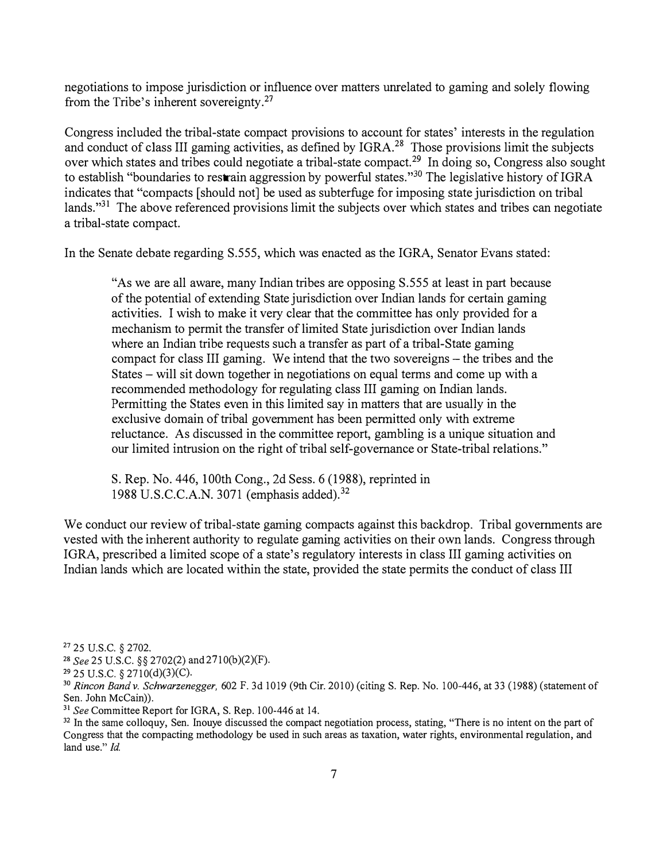negotiations to impose jurisdiction or influence over matters unrelated to gaming and solely flowing from the Tribe's inherent [sovereignty.](https://sovereignty.27)**<sup>27</sup>**

Congress included the tribal-state compact provisions to account for states' interests in the regulation and conduct of class III gaming activities, as defined by IGRA.<sup>28</sup> Those provisions limit the subjects over which states and tribes could negotiate a tribal-state [compact.](https://compact.29)<sup>29</sup> In doing so, Congress also sought to establish "boundaries to restrain aggression by powerful states."<sup>30</sup> The legislative history of IGRA indicates that "compacts [should not] be used as subterfuge for imposing state jurisdiction on tribal lands."<sup>31</sup> The above referenced provisions limit the subjects over which states and tribes can negotiate a tribal-state compact.

In the Senate debate regarding S.555, which was enacted as the IGRA, Senator Evans stated:

"As we are all aware, many Indian tribes are opposing S.555 at least in part because of the potential of extending State jurisdiction over Indian lands for certain gaming activities. I wish to make it very clear that the committee has only provided for a mechanism to permit the transfer of limited State jurisdiction over Indian lands where an Indian tribe requests such a transfer as part of a tribal-State gaming compact for class III gaming. We intend that the two sovereigns – the tribes and the States - will sit down together in negotiations on equal terms and come up with a recommended methodology for regulating class III gaming on Indian lands. Permitting the States even in this limited say in matters that are usually in the exclusive domain of tribal government has been permitted only with extreme reluctance. As discussed in the committee report, gambling is a unique situation and our limited intrusion on the right of tribal self-governance or State-tribal relations."

S. Rep. No. 446, 100th Cong., 2d Sess. 6 (1988), reprinted in 1988 U.S.C.C.A.N. 3071 (emphasis [added\).](https://added).32)**<sup>32</sup>**

We conduct our review of tribal-state gaming compacts against this backdrop. Tribal governments are vested with the inherent authority to regulate gaming activities on their own lands. Congress through IGRA, prescribed a limited scope of a state's regulatory interests in class III gaming activities on Indian lands which are located within the state, provided the state permits the conduct of class III

<sup>27</sup>25 U.S.C. *§* 2702.

<sup>28</sup>*See* 25 U.S.C. *§§* 2702(2) and 2710(b)(2)(F).

<sup>29</sup> 25 U.S.C. *§* 2710(d)(3)(C).

<sup>30</sup>*Rincon Bandv. Schwarzenegger,* 602 F. 3d 1019 (9th Cir. 2010) (citing S. Rep. No. 100-446, at 33 (1988) (statement of Sen. John McCain)).

<sup>31</sup>*See* Committee Report for IGRA, S. Rep. 100-446 at 14.

<sup>&</sup>lt;sup>32</sup> In the same colloquy, Sen. Inouye discussed the compact negotiation process, stating, "There is no intent on the part of Congress that the compacting methodology be used in such areas as taxation, water rights, environmental regulation, and land use." *Id.*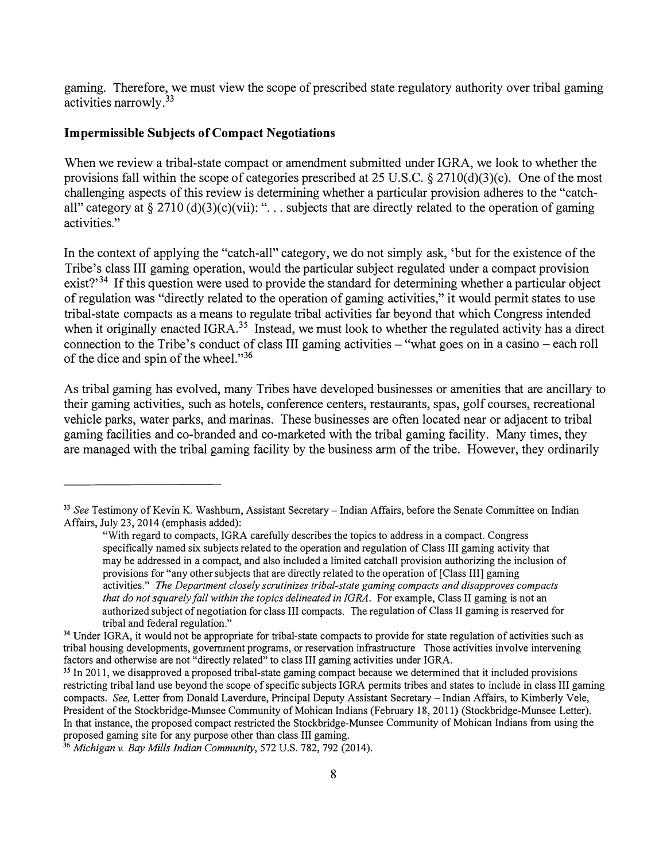gaming. Therefore, we must view the scope of prescribed state regulatory authority over tribal gaming activities [narrowly.](https://narrowly.33)<sup>33</sup>

## **Impermissible Subjects of Compact Negotiations**

When we review a tribal-state compact or amendment submitted under IGRA, we look to whether the provisions fall within the scope of categories prescribed at 25 U.S.C. § 2710(d)(3)(c). One of the most challenging aspects of this review is determining whether a particular provision adheres to the "catchall" category at  $\S 2710$  (d)(3)(c)(vii): "... subjects that are directly related to the operation of gaming activities."

In the context of applying the "catch-all" category, we do not simply ask, 'but for the existence of the Tribe's class III gaming operation, would the particular subject regulated under a compact provision  $exist?"$ <sup>34</sup> If this question were used to provide the standard for determining whether a particular object of regulation was "directly related to the operation of gaming activities," it would permit states to use tribal-state compacts as a means to regulate tribal activities far beyond that which Congress intended when it originally enacted IGRA.<sup>35</sup> Instead, we must look to whether the regulated activity has a direct connection to the Tribe's conduct of class III gaming activities - "what goes on in a casino - each roll of the dice and spin of the wheel."<sup>36</sup>

As tribal gaming has evolved, many Tribes have developed businesses or amenities that are ancillary to their gaming activities, such as hotels, conference centers, restaurants, spas, golf courses, recreational vehicle parks, water parks, and marinas. These businesses are often located near or adjacent to tribal gaming facilities and co-branded and co-marketed with the tribal gaming facility. Many times, they are managed with the tribal gaming facility by the business arm of the tribe. However, they ordinarily

<sup>33</sup>*See* Testimony of Kevin K. Washburn, Assistant Secretary- Indian Affairs, before the Senate Committee on Indian Affairs, July 23, 2014 (emphasis added):

<sup>&</sup>quot;With regard to compacts, IGRA carefully describes the topics to address in a compact. Congress specifically named six subjects related to the operation and regulation of Class III gaming activity that may be addressed in a compact, and also included a limited catchall provision authorizing the inclusion of provisions for "any other subjects that are directly related to the operation of [Class III] gaming activities." *The Department closely scrutinizes tribal-state gaming compacts and disapproves compacts that do not squarely fall within the topics delineated in IGRA.* For example, Class II gaming is not an authorized subject ofnegotiation for class III compacts. The regulation of Class II gaming is reserved for tribal and federal regulation."

<sup>&</sup>lt;sup>34</sup> Under IGRA, it would not be appropriate for tribal-state compacts to provide for state regulation of activities such as tribal housing developments, government programs, or reservation infrastructure Those activities involve intervening factors and otherwise are not "directly related" to class III gaming activities under IGRA.

<sup>&</sup>lt;sup>35</sup> In 2011, we disapproved a proposed tribal-state gaming compact because we determined that it included provisions restricting tribal land use beyond the scope of specific subjects IGRA permits tribes and states to include in class III gaming compacts. *See,* Letter from Donald Laverdure, Principal Deputy Assistant Secretary - Indian Affairs, to Kimberly Vele, President of the Stockbridge-Munsee Community of Mohican Indians (February 18, 2011) (Stockbridge-Munsee Letter). In that instance, the proposed compact restricted the Stockbridge-Munsee Community of Mohican Indians from using the proposed gaming site for any purpose other than class III gaming.

<sup>36</sup>*Michigan* v. *Bay Mills Indian Community,* 572 U.S. 782, 792 (2014).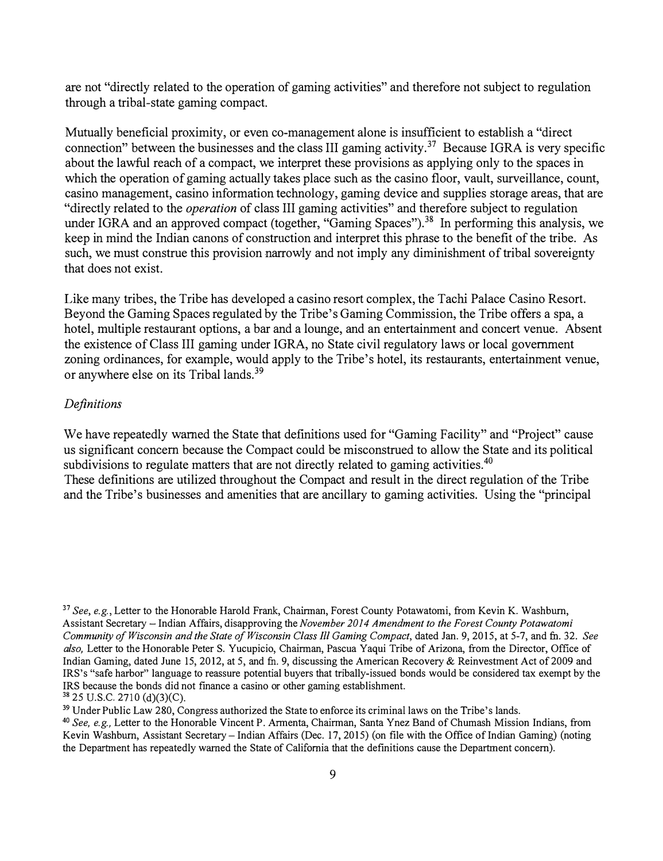are not "directly related to the operation of gaming activities" and therefore not subject to regulation through a tribal-state gaming compact.

Mutually beneficial proximity, or even co-management alone is insufficient to establish a "direct connection" between the businesses and the class III gaming [activity.](https://activity.37)<sup>37</sup> Because IGRA is very specific about the lawful reach of a compact, we interpret these provisions as applying only to the spaces in which the operation of gaming actually takes place such as the casino floor, vault, surveillance, count, casino management, casino information technology, gaming device and supplies storage areas, that are "directly related to the *operation* of class III gaming activities" and therefore subject to regulation under IGRA and an approved compact (together, "Gaming [Spaces"\).](https://Spaces").38)<sup>38</sup> In performing this analysis, we keep in mind the Indian canons of construction and interpret this phrase to the benefit of the tribe. As such, we must construe this provision narrowly and not imply any diminishment of tribal sovereignty that does not exist.

Like many tribes, the Tribe has developed a casino resort complex, the Tachi Palace Casino Resort. Beyond the Gaming Spaces regulated by the Tribe's Gaming Commission, the Tribe offers a spa, a hotel, multiple restaurant options, a bar and a lounge, and an entertainment and concert venue. Absent the existence of Class III gaming under IGRA, no State civil regulatory laws or local government zoning ordinances, for example, would apply to the Tribe's hotel, its restaurants, entertainment venue, or anywhere else on its Tribal [lands.](https://lands.39)<sup>39</sup>

#### *Definitions*

We have repeatedly warned the State that definitions used for "Gaming Facility" and "Project" cause us significant concern because the Compact could be misconstrued to allow the State and its political subdivisions to regulate matters that are not directly related to gaming [activities.](https://activities.40)<sup>40</sup>

These definitions are utilized throughout the Compact and result in the direct regulation of the Tribe and the Tribe's businesses and amenities that are ancillary to gaming activities. Using the "principal

<sup>37</sup>*See, e.g.,* Letter to the Honorable Harold Frank, Chairman, Forest County Potawatomi, from Kevin K. Washburn, Assistant Secretary- Indian Affairs, disapproving the *November 2014 Amendment to the Forest County Potawatomi Community of Wisconsin and the State of Wisconsin Class Ill Gaming Compact,* dated Jan. 9, 2015, at 5-7, and fu. 32. *See also,* Letter to the Honorable Peter S. Yucupicio, Chairman, Pascua Yaqui Tribe of Arizona, from the Director, Office of Indian Gaming, dated June 15, 2012, at 5, and fn. 9, discussing the American Recovery & Reinvestment Act of 2009 and IRS's "safe harbor" language to reassure potential buyers that tribally-issued bonds would be considered tax exempt by the IRS because the bonds did not finance a casino or other gaming establishment. **<sup>38</sup>**25 U.S.C. 2710 (d)(3)(C).

<sup>&</sup>lt;sup>39</sup> Under Public Law 280, Congress authorized the State to enforce its criminal laws on the Tribe's lands.

<sup>40</sup>*See, e.g.,* Letter to the Honorable Vincent P. Armenta, Chairman, Santa Ynez Band of Chumash Mission Indians, from Kevin Washburn, Assistant Secretary-Indian Affairs (Dec. 17, 2015) (on file with the Office of Indian Gaming) (noting the Department has repeatedly warned the State of California that the definitions cause the Department concern).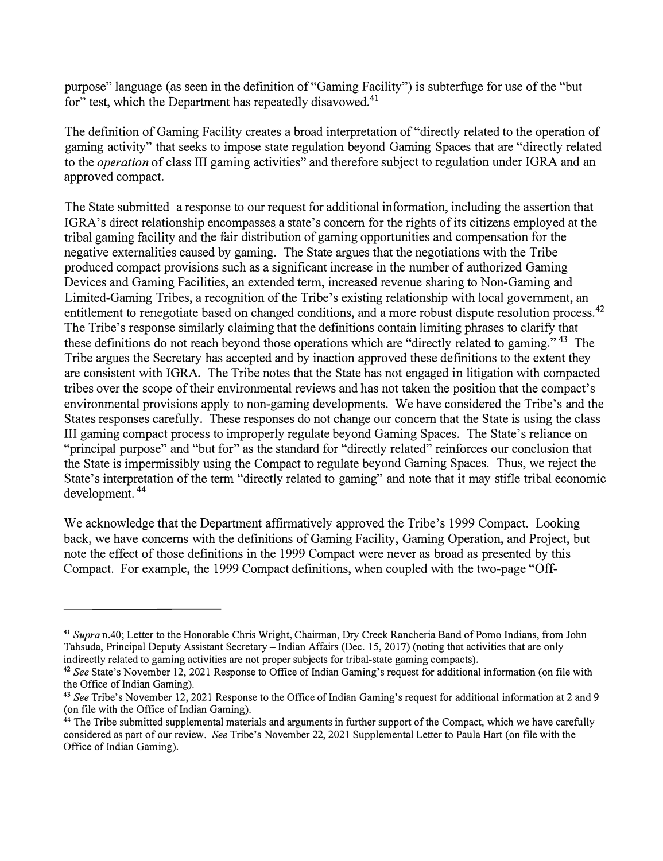purpose" language (as seen in the definition of "Gaming Facility") is subterfuge for use of the "but for" test, which the Department has repeatedly [disavowed.](https://disavowed.41)<sup>41</sup>

The definition of Gaming Facility creates a broad interpretation of "directly related to the operation of gaming activity" that seeks to impose state regulation beyond Gaming Spaces that are "directly related to the *operation* of class III gaming activities" and therefore subject to regulation under IGRA and an approved compact.

The State submitted a response to our request for additional information, including the assertion that IGRA's direct relationship encompasses a state's concern for the rights of its citizens employed at the tribal gaming facility and the fair distribution of gaming opportunities and compensation for the negative externalities caused by gaming. The State argues that the negotiations with the Tribe produced compact provisions such as a significant increase in the number of authorized Gaming Devices and Gaming Facilities, an extended term, increased revenue sharing to Non-Gaming and Limited-Gaming Tribes, a recognition of the Tribe's existing relationship with local government, an entitlement to renegotiate based on changed conditions, and a more robust dispute resolution [process.](https://process.42)<sup>42</sup> The Tribe's response similarly claiming that the definitions contain limiting phrases to clarify that these definitions do not reach beyond those operations which are "directly related to gaming."<sup>43</sup> The Tribe argues the Secretary has accepted and by inaction approved these definitions to the extent they are consistent with IGRA. The Tribe notes that the State has not engaged in litigation with compacted tribes over the scope of their environmental reviews and has not taken the position that the compact's environmental provisions apply to non-gaming developments. We have considered the Tribe's and the States responses carefully. These responses do not change our concern that the State is using the class III gaming compact process to improperly regulate beyond Gaming Spaces. The State's reliance on "principal purpose" and "but for" as the standard for "directly related" reinforces our conclusion that the State is impermissibly using the Compact to regulate beyond Gaming Spaces. Thus, we reject the State's interpretation of the term "directly related to gaming" and note that it may stifle tribal economic development. <sup>44</sup>

We acknowledge that the Department affirmatively approved the Tribe's 1999 Compact. Looking back, we have concerns with the definitions of Gaming Facility, Gaming Operation, and Project, but note the effect of those definitions in the 1999 Compact were never as broad as presented by this Compact. For example, the 1999 Compact definitions, when coupled with the two-page "Off-

**<sup>41</sup>***Supra* n.40; Letter to the Honorable Chris Wright, Chairman, Dry Creek Rancheria Band of Pomo Indians, from John Tahsuda, Principal Deputy Assistant Secretary - Indian Affairs (Dec. 15, 2017) (noting that activities that are only indirectly related to gaming activities are not proper subjects for tribal-state gaming compacts).

<sup>42</sup>*See* State's November 12, 2021 Response to Office of Indian Gaming's request for additional information ( on file with the Office of Indian Gaming).

<sup>43</sup>*See* Tribe's November 12, 2021 Response to the Office of Indian Gaming's request for additional information at 2 and 9 (on file with the Office of Indian Gaming).

<sup>&</sup>lt;sup>44</sup> The Tribe submitted supplemental materials and arguments in further support of the Compact, which we have carefully considered as part of our review. *See* Tribe's November 22, 2021 Supplemental Letter to Paula Hart ( on file with the Office of Indian Gaming).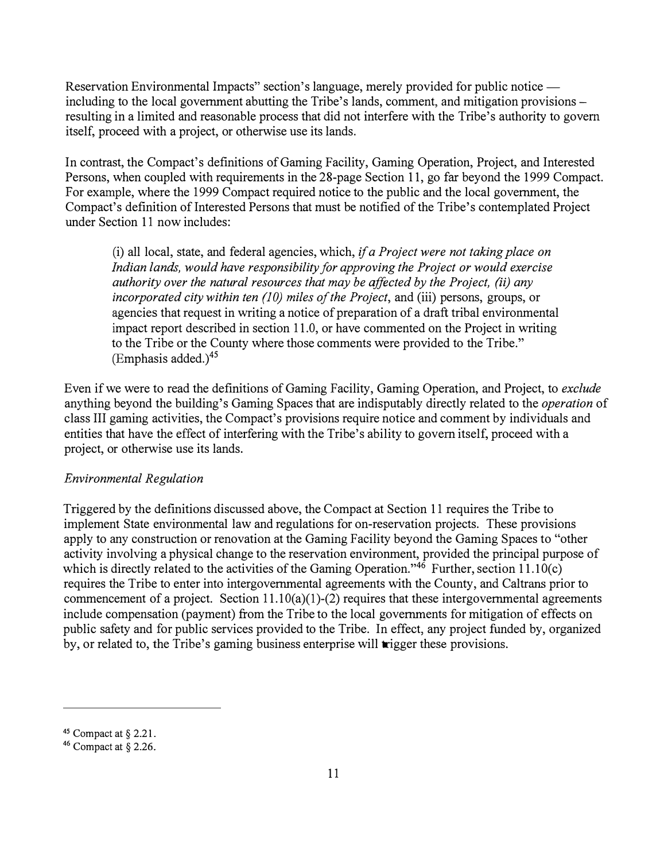Reservation Environmental Impacts" section's language, merely provided for public notice including to the local government abutting the Tribe's lands, comment, and mitigation provisions resulting in a limited and reasonable process that did not interfere with the Tribe's authority to govern itself, proceed with a project, or otherwise use its lands.

In contrast, the Compact's definitions of Gaming Facility, Gaming Operation, Project, and Interested Persons, when coupled with requirements in the 28-page Section 11, go far beyond the 1999 Compact. For example, where the 1999 Compact required notice to the public and the local government, the Compact's definition of Interested Persons that must be notified of the Tribe's contemplated Project under Section 11 now includes:

(i) all local, state, and federal agencies, which, if *a Project were not taking place on Indian lands, would have responsibility for approving the Project or would exercise authority over the natural resources that may be affected by the Project, (ii) any incorporated city within ten (10) miles of the Project, and (iii) persons, groups, or* agencies that request in writing a notice of preparation of a draft tribal environmental impact report described in section 11.0, or have commented on the Project in writing to the Tribe or the County where those comments were provided to the Tribe."  $E$ mphasis added.)<sup>45</sup>

Even if we were to read the definitions of Gaming Facility, Gaming Operation, and Project, to *exclude* anything beyond the building's Gaming Spaces that are indisputably directly related to the *operation* of class III gaming activities, the Compact's provisions require notice and comment by individuals and entities that have the effect of interfering with the Tribe's ability to govern itself, proceed with a project, or otherwise use its lands.

### *Environmental Regulation*

Triggered by the definitions discussed above, the Compact at Section 11 requires the Tribe to implement State environmental law and regulations for on-reservation projects. These provisions apply to any construction or renovation at the Gaming Facility beyond the Gaming Spaces to "other activity involving a physical change to the reservation environment, provided the principal purpose of which is directly related to the activities of the Gaming Operation."<sup>46</sup> Further, section 11.10(c) requires the Tribe to enter into intergovernmental agreements with the County, and Caltrans prior to commencement of a project. Section  $11.10(a)(1)-(2)$  requires that these intergovernmental agreements include compensation (payment) from the Tribe to the local governments for mitigation of effects on public safety and for public services provided to the Tribe. In effect, any project funded by, organized by, or related to, the Tribe's gaming business enterprise will trigger these provisions.

**<sup>45</sup>**Compact at§ 2.21.

**<sup>46</sup>**Compact at § 2.26.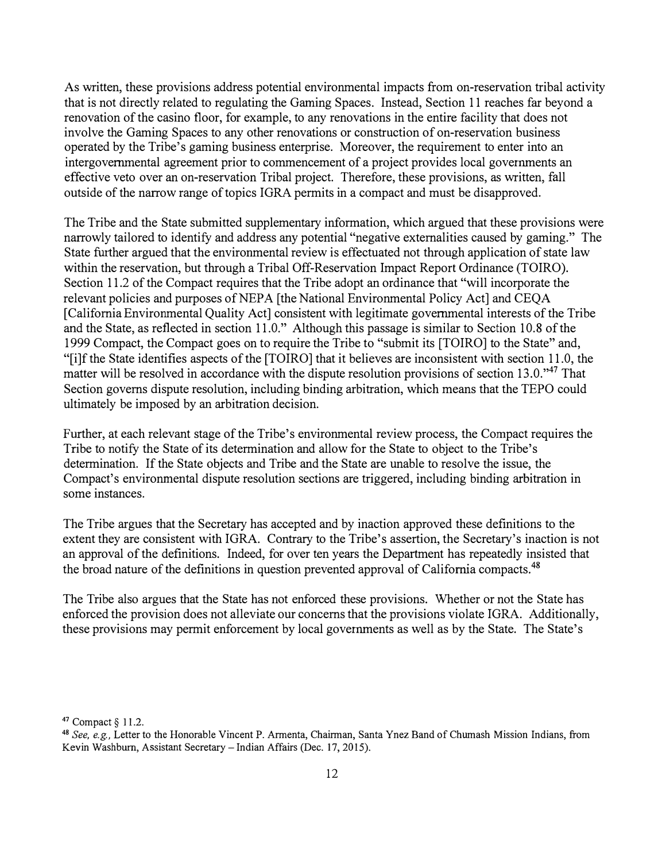As written, these provisions address potential environmental impacts from on-reservation tribal activity that is not directly related to regulating the Gaming Spaces. Instead, Section 11 reaches far beyond a renovation of the casino floor, for example, to any renovations in the entire facility that does not involve the Gaming Spaces to any other renovations or construction of on-reservation business operated by the Tribe's gaming business enterprise. Moreover, the requirement to enter into an intergovernmental agreement prior to commencement of a project provides local governments an effective veto over an on-reservation Tribal project. Therefore, these provisions, as written, fall outside of the narrow range of topics IGRA permits in a compact and must be disapproved.

The Tribe and the State submitted supplementary information, which argued that these provisions were narrowly tailored to identify and address any potential "negative externalities caused by gaming." The State further argued that the environmental review is effectuated not through application of state law within the reservation, but through a Tribal Off-Reservation Impact Report Ordinance (TOIRO). Section 11.2 of the Compact requires that the Tribe adopt an ordinance that "will incorporate the relevant policies and purposes of NEPA [the National Environmental Policy Act] and CEQA [California Environmental Quality Act] consistent with legitimate governmental interests of the Tribe and the State, as reflected in section 11.0." Although this passage is similar to Section 10.8 of the 1999 Compact, the Compact goes on to require the Tribe to "submit its [TOIRO] to the State" and, "[i]f the State identifies aspects of the [TOIRO] that it believes are inconsistent with section 11.0, the matter will be resolved in accordance with the dispute resolution provisions of section 13.0."<sup>47</sup> That Section governs dispute resolution, including binding arbitration, which means that the TEPO could ultimately be imposed by an arbitration decision.

Further, at each relevant stage of the Tribe's environmental review process, the Compact requires the Tribe to notify the State of its determination and allow for the State to object to the Tribe's determination. If the State objects and Tribe and the State are unable to resolve the issue, the Compact's environmental dispute resolution sections are triggered, including binding arbitration in some instances.

The Tribe argues that the Secretary has accepted and by inaction approved these definitions to the extent they are consistent with IGRA. Contrary to the Tribe's assertion, the Secretary's inaction is not an approval of the definitions. Indeed, for over ten years the Department has repeatedly insisted that the broad nature of the definitions in question prevented approval of California compacts.<sup>48</sup>

The Tribe also argues that the State has not enforced these provisions. Whether or not the State has enforced the provision does not alleviate our concerns that the provisions violate IGRA. Additionally, these provisions may permit enforcement by local governments as well as by the State. The State's

**<sup>47</sup>**Compact § 11.2.

**<sup>48</sup>***See, e.g.,* Letter to the Honorable Vincent P. Armenta, Chairman, Santa Ynez Band of Chumash Mission Indians, from Kevin Washburn, Assistant Secretary-Indian Affairs (Dec. 17, 2015).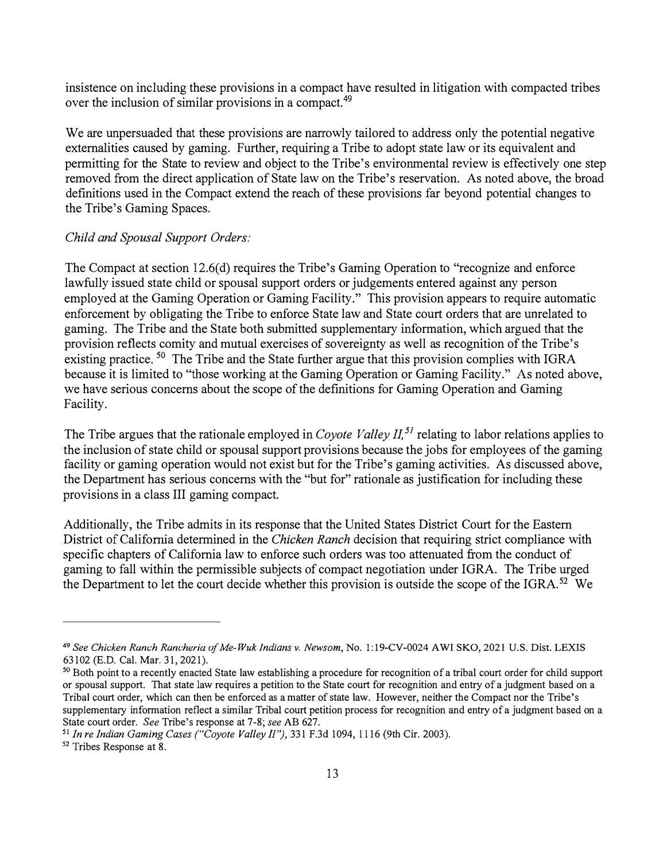insistence on including these provisions in a compact have resulted in litigation with compacted tribes over the inclusion of similar provisions in a [compact.](https://compact.49)<sup>49</sup>

We are unpersuaded that these provisions are narrowly tailored to address only the potential negative externalities caused by gaming. Further, requiring a Tribe to adopt state law or its equivalent and permitting for the State to review and object to the Tribe's environmental review is effectively one step removed from the direct application of State law on the Tribe's reservation. As noted above, the broad definitions used in the Compact extend the reach of these provisions far beyond potential changes to the Tribe's Gaming Spaces.

#### *Child and Spousal Support Orders:*

The Compact at section 12.6(d) requires the Tribe's Gaming Operation to "recognize and enforce lawfully issued state child or spousal support orders or judgements entered against any person employed at the Gaming Operation or Gaming Facility." This provision appears to require automatic enforcement by obligating the Tribe to enforce State law and State court orders that are unrelated to gaming. The Tribe and the State both submitted supplementary information, which argued that the provision reflects comity and mutual exercises of sovereignty as well as recognition of the Tribe's existing practice. <sup>50</sup> The Tribe and the State further argue that this provision complies with IGRA because it is limited to "those working at the Gaming Operation or Gaming Facility." As noted above, we have serious concerns about the scope of the definitions for Gaming Operation and Gaming Facility.

The Tribe argues that the rationale employed in *Coyote Valley II*,<sup>51</sup> relating to labor relations applies to the inclusion of state child or spousal support provisions because the jobs for employees of the gaming facility or gaming operation would not exist but for the Tribe's gaming activities. As discussed above, the Department has serious concerns with the "but for" rationale as justification for including these provisions in a class III gaming compact.

Additionally, the Tribe admits in its response that the United States District Court for the Eastern District of California determined in the *Chicken Ranch* decision that requiring strict compliance with specific chapters of California law to enforce such orders was too attenuated from the conduct of gaming to fall within the permissible subjects of compact negotiation under IGRA. The Tribe urged the Department to let the court decide whether this provision is outside the scope of the IGRA.<sup>52</sup> We

**<sup>49</sup>***See Chicken Ranch Rancheria of Me-Wuk Indians* v. *Newsom,* No. l:19-CV-0024 AWI SKO, 2021 U.S. Dist. LEXIS 63102 (E.D. Cal. Mar. 31, 2021).

*<sup>50</sup>*Both point to a recently enacted State law establishing a procedure for recognition of a tribal court order for child support or spousal support. That state law requires a petition to the State court for recognition and entry of a judgment based on a Tribal court order, which can then be enforced as a matter of state law. However, neither the Compact nor the Tribe's supplementary information reflect a similar Tribal court petition process for recognition and entry of a judgment based on a State court order. *See* Tribe's response at 7-8; *see* AB 627.

**<sup>51</sup>***In re Indian Gaming Cases ("Coyote Valley JI"),* 331 F.3d 1094, 1116 (9th Cir. 2003).

<sup>&</sup>lt;sup>52</sup> Tribes Response at 8.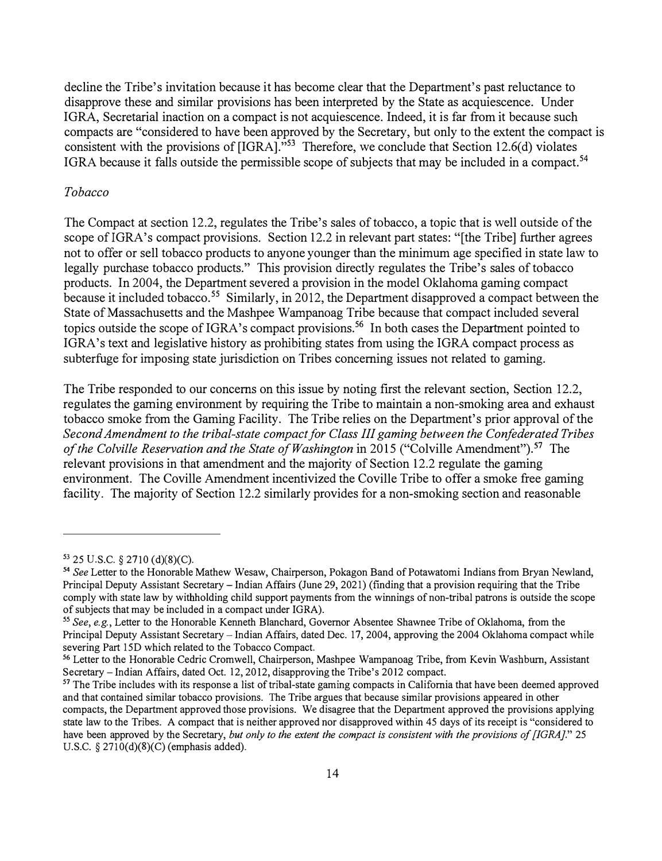decline the Tribe's invitation because it has become clear that the Department's past reluctance to disapprove these and similar provisions has been interpreted by the State as acquiescence. Under IGRA, Secretarial inaction on a compact is not acquiescence. Indeed, it is far from it because such compacts are "considered to have been approved by the Secretary, but only to the extent the compact is consistent with the provisions of [IGRA]."<sup>53</sup> Therefore, we conclude that Section 12.6(d) violates IGRA because it falls outside the permissible scope of subjects that may be included in a [compact.](https://compact.54)<sup>54</sup>

#### *Tobacco*

The Compact at section 12.2, regulates the Tribe's sales of tobacco, a topic that is well outside of the scope of IGRA's compact provisions. Section 12.2 in relevant part states: "[the Tribe] further agrees not to offer or sell tobacco products to anyone younger than the minimum age specified in state law to legally purchase tobacco products." This provision directly regulates the Tribe's sales of tobacco products. In 2004, the Department severed a·provision in the model Oklahoma gaming compact because it included [tobacco.](https://tobacco.55)<sup>55</sup> Similarly, in 2012, the Department disapproved a compact between the State of Massachusetts and the Mashpee Wampanoag Tribe because that compact included several topics outside the scope of IGRA's compact [provisions.](https://provisions.56)<sup>56</sup> In both cases the Department pointed to IGRA's text and legislative history as prohibiting states from using the IGRA compact process as subterfuge for imposing state jurisdiction on Tribes concerning issues not related to gaming.

The Tribe responded to our concerns on this issue by noting first the relevant section, Section 12.2, regulates the gaming environment by requiring the Tribe to maintain a non-smoking area and exhaust tobacco smoke from the Gaming Facility. The Tribe relies on the Department's prior approval of the *Second Amendment to the tribal-state compact for Class III gaming between the Confederated Tribes of the Colville Reservation and the State of Washington* in 2015 ("Colville [Amendment"\).](https://Amendment").57)<sup>57</sup> The relevant provisions in that amendment and the majority of Section 12.2 regulate the gaming environment. The Coville Amendment incentivized the Coville Tribe to offer a smoke free gaming facility. The majority of Section 12.2 similarly provides for a non-smoking section and reasonable

<sup>53</sup>25 U.S.C. *§* 2710 (d)(8)(C). <sup>54</sup>*See* Letter to the Honorable Mathew Wesaw, Chairperson, Pokagon Band of Potawatomi Indians from Bryan Newland, Principal Deputy Assistant Secretary-Indian Affairs (June 29, 2021) (finding that a provision requiring that the Tribe comply with state law by withholding child support payments from the winnings of non-tribal patrons is outside the scope of subjects that may be included in a compact under IGRA).

*<sup>55</sup>See, e.g.,* Letter to the Honorable Kenneth Blanchard, Governor Absentee Shawnee Tribe of Oklahoma, from the Principal Deputy Assistant Secretary - Indian Affairs, dated Dec. 17, 2004, approving the 2004 Oklahoma compact while severing Part 15D which related to the Tobacco Compact.

<sup>&</sup>lt;sup>56</sup> Letter to the Honorable Cedric Cromwell, Chairperson, Mashpee Wampanoag Tribe, from Kevin Washburn, Assistant Secretary- Indian Affairs, dated Oct. 12, 2012, disapproving the Tribe's 2012 compact.

<sup>&</sup>lt;sup>57</sup> The Tribe includes with its response a list of tribal-state gaming compacts in California that have been deemed approved and that contained similar tobacco provisions. The Tribe argues that because similar provisions appeared in other compacts, the Department approved those provisions. We disagree that the Department approved the provisions applying state law to the Tribes. A compact that is neither approved nor disapproved within 45 days of its receipt is "considered to have been approved by the Secretary, *but only to the extent the compact is consistent with the provisions of [JGRA]."* 25 U.S.C. *§* 2710(d)(8)(C) (emphasis added).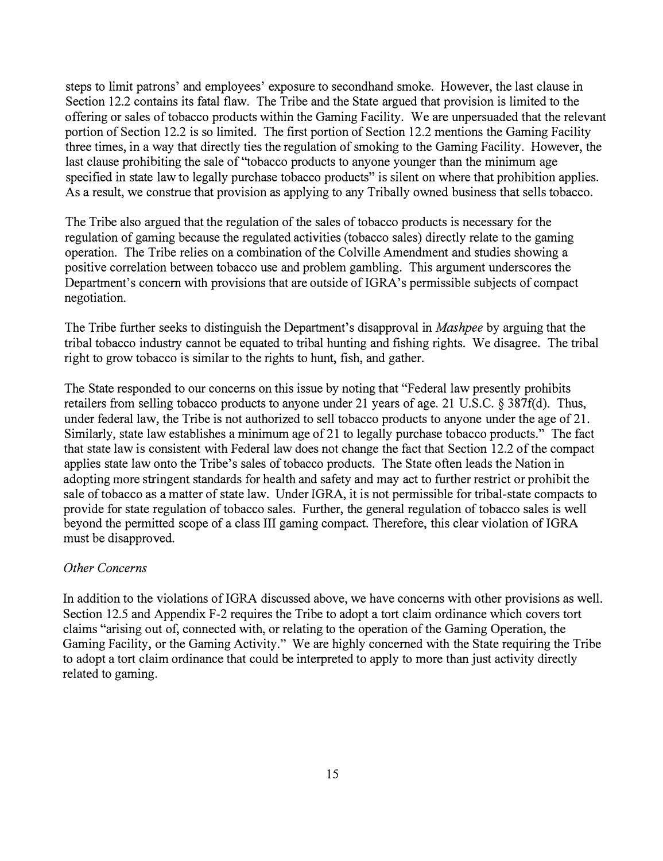steps to limit patrons' and employees' exposure to secondhand smoke. However, the last clause in Section 12.2 contains its fatal flaw. The Tribe and the State argued that provision is limited to the offering or sales of tobacco products within the Gaming Facility. We are unpersuaded that the relevant portion of Section 12.2 is so limited. The first portion of Section 12.2 mentions the Gaming Facility three times, in a way that directly ties the regulation of smoking to the Gaming Facility. However, the last clause prohibiting the sale of "tobacco products to anyone younger than the minimum age specified in state law to legally purchase tobacco products" is silent on where that prohibition applies. As a result, we construe that provision as applying to any Tribally owned business that sells tobacco.

The Tribe also argued that the regulation of the sales of tobacco products is necessary for the regulation of gaming because the regulated activities (tobacco sales) directly relate to the gaming operation. The Tribe relies on a combination of the Colville Amendment and studies showing a positive correlation between tobacco use and problem gambling. This argument underscores the Department's concern with provisions that are outside of IGRA's permissible subjects of compact negotiation.

The Tribe further seeks to distinguish the Department's disapproval in *Mashpee* by arguing that the tribal tobacco industry cannot be equated to tribal hunting and fishing rights. We disagree. The tribal right to grow tobacco is similar to the rights to hunt, fish, and gather.

The State responded to our concerns on this issue by noting that "Federal law presently prohibits retailers from selling tobacco products to anyone under 21 years of age. 21 U.S.C. § 387f(d). Thus, under federal law, the Tribe is not authorized to sell tobacco products to anyone under the age of 21. Similarly, state law establishes a minimum age of 21 to legally purchase tobacco products." The fact that state law is consistent with Federal law does not change the fact that Section 12.2 of the compact applies state law onto the Tribe's sales of tobacco products. The State often leads the Nation in adopting more stringent standards for health and safety and may act to further restrict or prohibit the sale of tobacco as a matter of state law. Under IGRA, it is not permissible for tribal-state compacts to provide for state regulation of tobacco sales. Further, the general regulation of tobacco sales is well beyond the permitted scope of a class III gaming compact. Therefore, this clear violation of IGRA must be disapproved.

### *Other Concerns*

In addition to the violations of IGRA discussed above, we have concerns with other provisions as well. Section 12.5 and Appendix F-2 requires the Tribe to adopt a tort claim ordinance which covers tort claims "arising out of, connected with, or relating to the operation of the Gaming Operation, the Gaming Facility, or the Gaming Activity." We are highly concerned with the State requiring the Tribe to adopt a tort claim ordinance that could be interpreted to apply to more than just activity directly related to gaming.